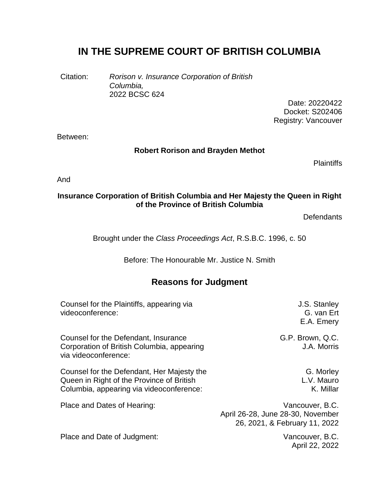# **IN THE SUPREME COURT OF BRITISH COLUMBIA**

Citation: *Rorison v. Insurance Corporation of British Columbia,* 2022 BCSC 624

Date: 20220422 Docket: S202406 Registry: Vancouver

Between:

#### **Robert Rorison and Brayden Methot**

**Plaintiffs** 

And

#### **Insurance Corporation of British Columbia and Her Majesty the Queen in Right of the Province of British Columbia**

**Defendants** 

Brought under the *Class Proceedings Act*, R.S.B.C. 1996, c. 50

Before: The Honourable Mr. Justice N. Smith

# **Reasons for Judgment**

| Counsel for the Plaintiffs, appearing via<br>videoconference:                                                                       | J.S. Stanley<br>G. van Ert<br>E.A. Emery                                              |
|-------------------------------------------------------------------------------------------------------------------------------------|---------------------------------------------------------------------------------------|
| Counsel for the Defendant, Insurance<br>Corporation of British Columbia, appearing<br>via videoconference:                          | G.P. Brown, Q.C.<br>J.A. Morris                                                       |
| Counsel for the Defendant, Her Majesty the<br>Queen in Right of the Province of British<br>Columbia, appearing via videoconference: | G. Morley<br>L.V. Mauro<br>K. Millar                                                  |
| Place and Dates of Hearing:                                                                                                         | Vancouver, B.C.<br>April 26-28, June 28-30, November<br>26, 2021, & February 11, 2022 |
| Place and Date of Judgment:                                                                                                         | Vancouver, B.C.<br>April 22, 2022                                                     |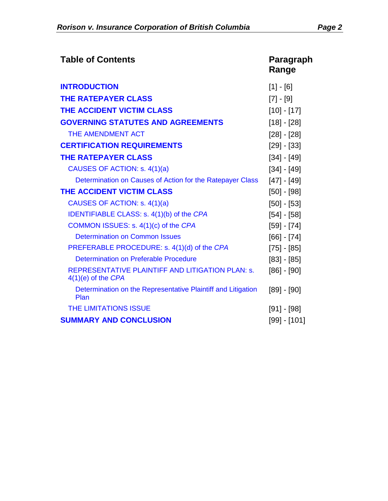| <b>Table of Contents</b>                                                        | Paragraph<br>Range |
|---------------------------------------------------------------------------------|--------------------|
| <b>INTRODUCTION</b>                                                             | $[1] - [6]$        |
| <b>THE RATEPAYER CLASS</b>                                                      | $[7] - [9]$        |
| THE ACCIDENT VICTIM CLASS                                                       | $[10] - [17]$      |
| <b>GOVERNING STATUTES AND AGREEMENTS</b>                                        | $[18] - [28]$      |
| THE AMENDMENT ACT                                                               | $[28] - [28]$      |
| <b>CERTIFICATION REQUIREMENTS</b>                                               | $[29] - [33]$      |
| <b>THE RATEPAYER CLASS</b>                                                      | $[34] - [49]$      |
| CAUSES OF ACTION: s. 4(1)(a)                                                    | $[34] - [49]$      |
| Determination on Causes of Action for the Ratepayer Class                       | $[47] - [49]$      |
| THE ACCIDENT VICTIM CLASS                                                       | $[50] - [98]$      |
| CAUSES OF ACTION: s. 4(1)(a)                                                    | $[50] - [53]$      |
| IDENTIFIABLE CLASS: s. 4(1)(b) of the CPA                                       | $[54] - [58]$      |
| COMMON ISSUES: s. 4(1)(c) of the CPA                                            | $[59] - [74]$      |
| <b>Determination on Common Issues</b>                                           | $[66] - [74]$      |
| PREFERABLE PROCEDURE: s. 4(1)(d) of the CPA                                     | $[75] - [85]$      |
| Determination on Preferable Procedure                                           | $[83] - [85]$      |
| <b>REPRESENTATIVE PLAINTIFF AND LITIGATION PLAN: S.</b><br>$4(1)(e)$ of the CPA | $[86] - [90]$      |
| Determination on the Representative Plaintiff and Litigation<br>Plan            | $[89] - [90]$      |
| <b>THE LIMITATIONS ISSUE</b>                                                    | $[91] - [98]$      |
| <b>SUMMARY AND CONCLUSION</b>                                                   | $[99] - [101]$     |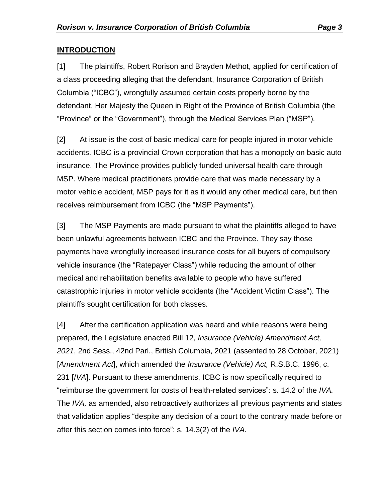#### <span id="page-2-0"></span>**INTRODUCTION**

[1] The plaintiffs, Robert Rorison and Brayden Methot, applied for certification of a class proceeding alleging that the defendant, Insurance Corporation of British Columbia ("ICBC"), wrongfully assumed certain costs properly borne by the defendant, Her Majesty the Queen in Right of the Province of British Columbia (the "Province" or the "Government"), through the Medical Services Plan ("MSP").

[2] At issue is the cost of basic medical care for people injured in motor vehicle accidents. ICBC is a provincial Crown corporation that has a monopoly on basic auto insurance. The Province provides publicly funded universal health care through MSP. Where medical practitioners provide care that was made necessary by a motor vehicle accident, MSP pays for it as it would any other medical care, but then receives reimbursement from ICBC (the "MSP Payments").

[3] The MSP Payments are made pursuant to what the plaintiffs alleged to have been unlawful agreements between ICBC and the Province. They say those payments have wrongfully increased insurance costs for all buyers of compulsory vehicle insurance (the "Ratepayer Class") while reducing the amount of other medical and rehabilitation benefits available to people who have suffered catastrophic injuries in motor vehicle accidents (the "Accident Victim Class"). The plaintiffs sought certification for both classes.

[4] After the certification application was heard and while reasons were being prepared, the Legislature enacted Bill 12, *Insurance (Vehicle) Amendment Act, 2021*, 2nd Sess., 42nd Parl., British Columbia, 2021 (assented to 28 October, 2021) [*Amendment Act*], which amended the *Insurance (Vehicle) Act,* R.S.B.C. 1996, c. 231 [*IVA*]. Pursuant to these amendments, ICBC is now specifically required to "reimburse the government for costs of health-related services": s. 14.2 of the *IVA.* The *IVA,* as amended, also retroactively authorizes all previous payments and states that validation applies "despite any decision of a court to the contrary made before or after this section comes into force": s. 14.3(2) of the *IVA.*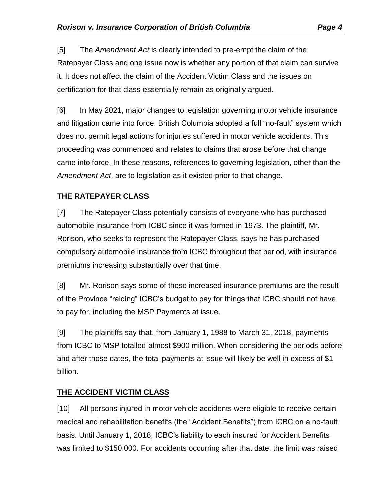[5] The *Amendment Act* is clearly intended to pre-empt the claim of the Ratepayer Class and one issue now is whether any portion of that claim can survive it. It does not affect the claim of the Accident Victim Class and the issues on certification for that class essentially remain as originally argued.

[6] In May 2021, major changes to legislation governing motor vehicle insurance and litigation came into force. British Columbia adopted a full "no-fault" system which does not permit legal actions for injuries suffered in motor vehicle accidents. This proceeding was commenced and relates to claims that arose before that change came into force. In these reasons, references to governing legislation, other than the *Amendment Act*, are to legislation as it existed prior to that change.

# <span id="page-3-0"></span>**THE RATEPAYER CLASS**

[7] The Ratepayer Class potentially consists of everyone who has purchased automobile insurance from ICBC since it was formed in 1973. The plaintiff, Mr. Rorison, who seeks to represent the Ratepayer Class, says he has purchased compulsory automobile insurance from ICBC throughout that period, with insurance premiums increasing substantially over that time.

[8] Mr. Rorison says some of those increased insurance premiums are the result of the Province "raiding" ICBC's budget to pay for things that ICBC should not have to pay for, including the MSP Payments at issue.

[9] The plaintiffs say that, from January 1, 1988 to March 31, 2018, payments from ICBC to MSP totalled almost \$900 million. When considering the periods before and after those dates, the total payments at issue will likely be well in excess of \$1 billion.

# <span id="page-3-1"></span>**THE ACCIDENT VICTIM CLASS**

[10] All persons injured in motor vehicle accidents were eligible to receive certain medical and rehabilitation benefits (the "Accident Benefits") from ICBC on a no-fault basis. Until January 1, 2018, ICBC's liability to each insured for Accident Benefits was limited to \$150,000. For accidents occurring after that date, the limit was raised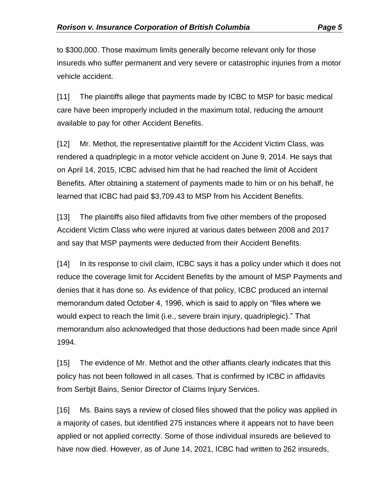to \$300,000. Those maximum limits generally become relevant only for those insureds who suffer permanent and very severe or catastrophic injuries from a motor vehicle accident.

[11] The plaintiffs allege that payments made by ICBC to MSP for basic medical care have been improperly included in the maximum total, reducing the amount available to pay for other Accident Benefits.

[12] Mr. Methot, the representative plaintiff for the Accident Victim Class, was rendered a quadriplegic in a motor vehicle accident on June 9, 2014. He says that on April 14, 2015, ICBC advised him that he had reached the limit of Accident Benefits. After obtaining a statement of payments made to him or on his behalf, he learned that ICBC had paid \$3,709.43 to MSP from his Accident Benefits.

[13] The plaintiffs also filed affidavits from five other members of the proposed Accident Victim Class who were injured at various dates between 2008 and 2017 and say that MSP payments were deducted from their Accident Benefits.

[14] In its response to civil claim, ICBC says it has a policy under which it does not reduce the coverage limit for Accident Benefits by the amount of MSP Payments and denies that it has done so. As evidence of that policy, ICBC produced an internal memorandum dated October 4, 1996, which is said to apply on "files where we would expect to reach the limit (i.e., severe brain injury, quadriplegic)." That memorandum also acknowledged that those deductions had been made since April 1994.

[15] The evidence of Mr. Methot and the other affiants clearly indicates that this policy has not been followed in all cases. That is confirmed by ICBC in affidavits from Serbjit Bains, Senior Director of Claims Injury Services.

[16] Ms. Bains says a review of closed files showed that the policy was applied in a majority of cases, but identified 275 instances where it appears not to have been applied or not applied correctly. Some of those individual insureds are believed to have now died. However, as of June 14, 2021, ICBC had written to 262 insureds,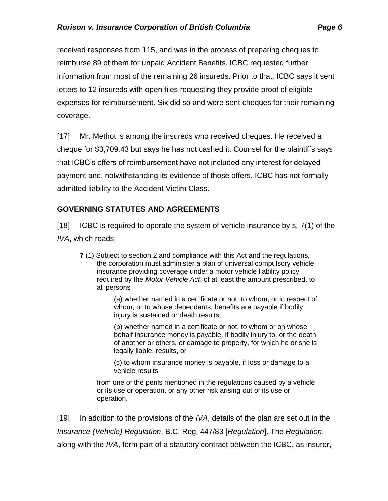received responses from 115, and was in the process of preparing cheques to reimburse 89 of them for unpaid Accident Benefits. ICBC requested further information from most of the remaining 26 insureds. Prior to that, ICBC says it sent letters to 12 insureds with open files requesting they provide proof of eligible expenses for reimbursement. Six did so and were sent cheques for their remaining coverage.

[17] Mr. Methot is among the insureds who received cheques. He received a cheque for \$3,709.43 but says he has not cashed it. Counsel for the plaintiffs says that ICBC's offers of reimbursement have not included any interest for delayed payment and, notwithstanding its evidence of those offers, ICBC has not formally admitted liability to the Accident Victim Class.

## <span id="page-5-0"></span>**GOVERNING STATUTES AND AGREEMENTS**

[18] ICBC is required to operate the system of vehicle insurance by s. 7(1) of the *IVA*, which reads:

**7** (1) Subject to section 2 and compliance with this Act and the regulations, the corporation must administer a plan of universal compulsory vehicle insurance providing coverage under a motor vehicle liability policy required by the *Motor Vehicle Act*, of at least the amount prescribed, to all persons

> (a) whether named in a certificate or not, to whom, or in respect of whom, or to whose dependants, benefits are payable if bodily injury is sustained or death results,

> (b) whether named in a certificate or not, to whom or on whose behalf insurance money is payable, if bodily injury to, or the death of another or others, or damage to property, for which he or she is legally liable, results, or

(c) to whom insurance money is payable, if loss or damage to a vehicle results

from one of the perils mentioned in the regulations caused by a vehicle or its use or operation, or any other risk arising out of its use or operation.

[19] In addition to the provisions of the *IVA*, details of the plan are set out in the *Insurance (Vehicle) Regulation*, B.C. Reg. 447/83 [*Regulation*]. The *Regulation*, along with the *IVA*, form part of a statutory contract between the ICBC, as insurer,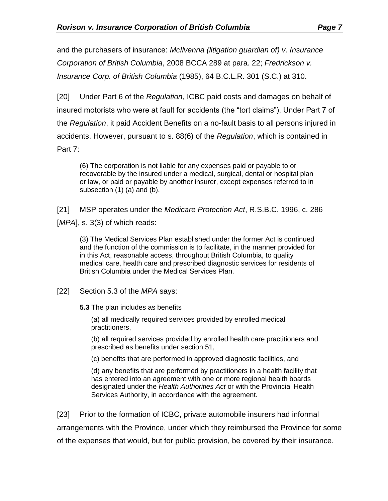and the purchasers of insurance: *McIlvenna (litigation guardian of) v. Insurance Corporation of British Columbia*, 2008 BCCA 289 at para. 22; *Fredrickson v. Insurance Corp. of British Columbia* (1985), 64 B.C.L.R. 301 (S.C.) at 310.

[20] Under Part 6 of the *Regulation*, ICBC paid costs and damages on behalf of insured motorists who were at fault for accidents (the "tort claims"). Under Part 7 of the *Regulation*, it paid Accident Benefits on a no-fault basis to all persons injured in accidents. However, pursuant to s. 88(6) of the *Regulation*, which is contained in Part 7:

(6) The corporation is not liable for any expenses paid or payable to or recoverable by the insured under a medical, surgical, dental or hospital plan or law, or paid or payable by another insurer, except expenses referred to in subsection (1) (a) and (b).

[21] MSP operates under the *Medicare Protection Act*, R.S.B.C. 1996, c. 286

[*MPA*], s. 3(3) of which reads:

(3) The Medical Services Plan established under the former Act is continued and the function of the commission is to facilitate, in the manner provided for in this Act, reasonable access, throughout British Columbia, to quality medical care, health care and prescribed diagnostic services for residents of British Columbia under the Medical Services Plan.

[22] Section 5.3 of the *MPA* says:

**5.3** The plan includes as benefits

(a) all medically required services provided by enrolled medical practitioners,

(b) all required services provided by enrolled health care practitioners and prescribed as benefits under section 51,

(c) benefits that are performed in approved diagnostic facilities, and

(d) any benefits that are performed by practitioners in a health facility that has entered into an agreement with one or more regional health boards designated under the *[Health Authorities Act](https://www.bclaws.gov.bc.ca/civix/document/id/complete/statreg/96180_01)* or with the Provincial Health Services Authority, in accordance with the agreement.

[23] Prior to the formation of ICBC, private automobile insurers had informal arrangements with the Province, under which they reimbursed the Province for some of the expenses that would, but for public provision, be covered by their insurance.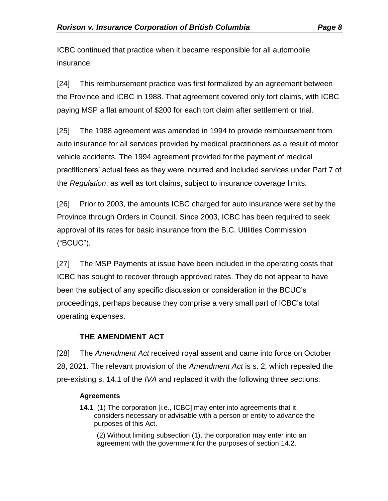ICBC continued that practice when it became responsible for all automobile insurance.

[24] This reimbursement practice was first formalized by an agreement between the Province and ICBC in 1988. That agreement covered only tort claims, with ICBC paying MSP a flat amount of \$200 for each tort claim after settlement or trial.

[25] The 1988 agreement was amended in 1994 to provide reimbursement from auto insurance for all services provided by medical practitioners as a result of motor vehicle accidents. The 1994 agreement provided for the payment of medical practitioners' actual fees as they were incurred and included services under Part 7 of the *Regulation*, as well as tort claims, subject to insurance coverage limits.

[26] Prior to 2003, the amounts ICBC charged for auto insurance were set by the Province through Orders in Council. Since 2003, ICBC has been required to seek approval of its rates for basic insurance from the B.C. Utilities Commission ("BCUC").

[27] The MSP Payments at issue have been included in the operating costs that ICBC has sought to recover through approved rates. They do not appear to have been the subject of any specific discussion or consideration in the BCUC's proceedings, perhaps because they comprise a very small part of ICBC's total operating expenses.

# **THE AMENDMENT ACT**

<span id="page-7-0"></span>[28] The *Amendment Act* received royal assent and came into force on October 28, 2021. The relevant provision of the *Amendment Act* is s. 2, which repealed the pre-existing s. 14.1 of the *IVA* and replaced it with the following three sections:

## **Agreements**

**14.1** (1) The corporation [i.e., ICBC] may enter into agreements that it considers necessary or advisable with a person or entity to advance the purposes of this Act.

(2) Without limiting subsection (1), the corporation may enter into an agreement with the government for the purposes of section 14.2.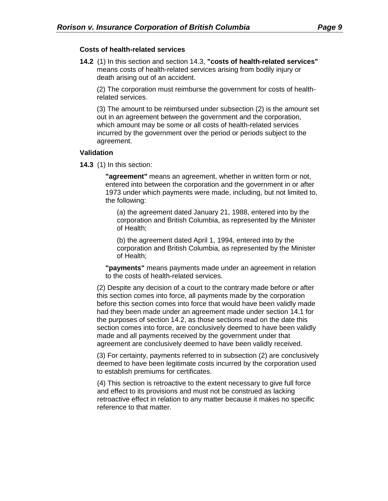#### **Costs of health-related services**

**14.2** (1) In this section and section 14.3, **"costs of health-related services"** means costs of health-related services arising from bodily injury or death arising out of an accident.

(2) The corporation must reimburse the government for costs of healthrelated services.

(3) The amount to be reimbursed under subsection (2) is the amount set out in an agreement between the government and the corporation, which amount may be some or all costs of health-related services incurred by the government over the period or periods subject to the agreement.

#### **Validation**

**14.3** (1) In this section:

**"agreement"** means an agreement, whether in written form or not, entered into between the corporation and the government in or after 1973 under which payments were made, including, but not limited to, the following:

(a) the agreement dated January 21, 1988, entered into by the corporation and British Columbia, as represented by the Minister of Health;

(b) the agreement dated April 1, 1994, entered into by the corporation and British Columbia, as represented by the Minister of Health;

**"payments"** means payments made under an agreement in relation to the costs of health-related services.

(2) Despite any decision of a court to the contrary made before or after this section comes into force, all payments made by the corporation before this section comes into force that would have been validly made had they been made under an agreement made under section 14.1 for the purposes of section 14.2, as those sections read on the date this section comes into force, are conclusively deemed to have been validly made and all payments received by the government under that agreement are conclusively deemed to have been validly received.

(3) For certainty, payments referred to in subsection (2) are conclusively deemed to have been legitimate costs incurred by the corporation used to establish premiums for certificates.

(4) This section is retroactive to the extent necessary to give full force and effect to its provisions and must not be construed as lacking retroactive effect in relation to any matter because it makes no specific reference to that matter.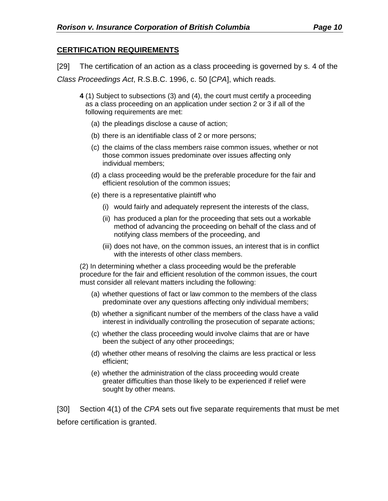#### <span id="page-9-0"></span>**CERTIFICATION REQUIREMENTS**

[29] The certification of an action as a class proceeding is governed by s. 4 of the

*Class Proceedings Act*, R.S.B.C. 1996, c. 50 [*CPA*], which reads.

- **4** (1) Subject to subsections (3) and (4), the court must certify a proceeding as a class proceeding on an application under section 2 or 3 if all of the following requirements are met:
	- (a) the pleadings disclose a cause of action;
	- (b) there is an identifiable class of 2 or more persons;
	- (c) the claims of the class members raise common issues, whether or not those common issues predominate over issues affecting only individual members;
	- (d) a class proceeding would be the preferable procedure for the fair and efficient resolution of the common issues;
	- (e) there is a representative plaintiff who
		- (i) would fairly and adequately represent the interests of the class,
		- (ii) has produced a plan for the proceeding that sets out a workable method of advancing the proceeding on behalf of the class and of notifying class members of the proceeding, and
		- (iii) does not have, on the common issues, an interest that is in conflict with the interests of other class members.

(2) In determining whether a class proceeding would be the preferable procedure for the fair and efficient resolution of the common issues, the court must consider all relevant matters including the following:

- (a) whether questions of fact or law common to the members of the class predominate over any questions affecting only individual members;
- (b) whether a significant number of the members of the class have a valid interest in individually controlling the prosecution of separate actions;
- (c) whether the class proceeding would involve claims that are or have been the subject of any other proceedings;
- (d) whether other means of resolving the claims are less practical or less efficient;
- (e) whether the administration of the class proceeding would create greater difficulties than those likely to be experienced if relief were sought by other means.

[30] Section 4(1) of the *CPA* sets out five separate requirements that must be met before certification is granted.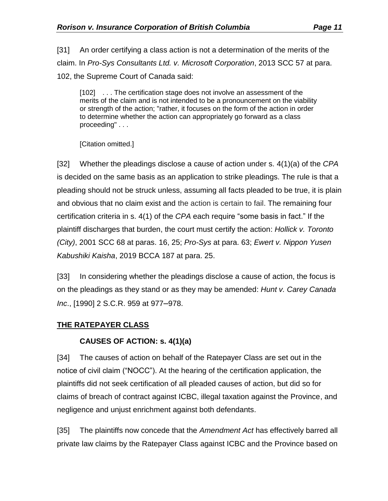[31] An order certifying a class action is not a determination of the merits of the claim. In *Pro-Sys Consultants Ltd. v. Microsoft Corporation*, 2013 SCC 57 at para. 102, the Supreme Court of Canada said:

[102] . . . The certification stage does not involve an assessment of the merits of the claim and is not intended to be a pronouncement on the viability or strength of the action; "rather, it focuses on the form of the action in order to determine whether the action can appropriately go forward as a class proceeding" . . .

[Citation omitted.]

[32] Whether the pleadings disclose a cause of action under s. 4(1)(a) of the *CPA* is decided on the same basis as an application to strike pleadings. The rule is that a pleading should not be struck unless, assuming all facts pleaded to be true, it is plain and obvious that no claim exist and the action is certain to fail. The remaining four certification criteria in s. 4(1) of the *CPA* each require "some basis in fact." If the plaintiff discharges that burden, the court must certify the action: *Hollick v. Toronto (City)*, 2001 SCC 68 at paras. 16, 25; *Pro-Sys* at para. 63; *Ewert v. Nippon Yusen Kabushiki Kaisha*, 2019 BCCA 187 at para. 25.

[33] In considering whether the pleadings disclose a cause of action, the focus is on the pleadings as they stand or as they may be amended: *Hunt v. Carey Canada Inc*., [1990] 2 S.C.R. 959 at 977**–**978.

## <span id="page-10-0"></span>**THE RATEPAYER CLASS**

## **CAUSES OF ACTION: s. 4(1)(a)**

<span id="page-10-1"></span>[34] The causes of action on behalf of the Ratepayer Class are set out in the notice of civil claim ("NOCC"). At the hearing of the certification application, the plaintiffs did not seek certification of all pleaded causes of action, but did so for claims of breach of contract against ICBC, illegal taxation against the Province, and negligence and unjust enrichment against both defendants.

[35] The plaintiffs now concede that the *Amendment Act* has effectively barred all private law claims by the Ratepayer Class against ICBC and the Province based on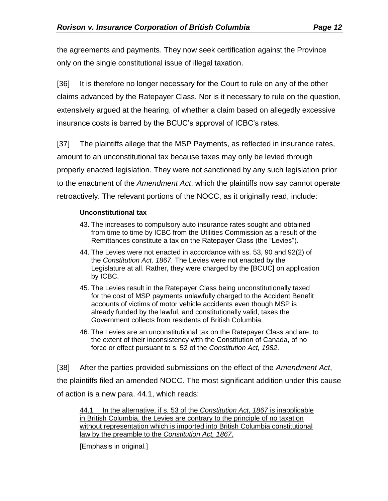the agreements and payments. They now seek certification against the Province only on the single constitutional issue of illegal taxation.

[36] It is therefore no longer necessary for the Court to rule on any of the other claims advanced by the Ratepayer Class. Nor is it necessary to rule on the question, extensively argued at the hearing, of whether a claim based on allegedly excessive insurance costs is barred by the BCUC's approval of ICBC's rates.

[37] The plaintiffs allege that the MSP Payments, as reflected in insurance rates, amount to an unconstitutional tax because taxes may only be levied through properly enacted legislation. They were not sanctioned by any such legislation prior to the enactment of the *Amendment Act*, which the plaintiffs now say cannot operate retroactively. The relevant portions of the NOCC, as it originally read, include:

#### **Unconstitutional tax**

- 43. The increases to compulsory auto insurance rates sought and obtained from time to time by ICBC from the Utilities Commission as a result of the Remittances constitute a tax on the Ratepayer Class (the "Levies").
- 44. The Levies were not enacted in accordance with ss. 53, 90 and 92(2) of the *Constitution Act, 1867*. The Levies were not enacted by the Legislature at all. Rather, they were charged by the [BCUC] on application by ICBC.
- 45. The Levies result in the Ratepayer Class being unconstitutionally taxed for the cost of MSP payments unlawfully charged to the Accident Benefit accounts of victims of motor vehicle accidents even though MSP is already funded by the lawful, and constitutionally valid, taxes the Government collects from residents of British Columbia.
- 46. The Levies are an unconstitutional tax on the Ratepayer Class and are, to the extent of their inconsistency with the Constitution of Canada, of no force or effect pursuant to s. 52 of the *Constitution Act, 1982*.

[38] After the parties provided submissions on the effect of the *Amendment Act*, the plaintiffs filed an amended NOCC. The most significant addition under this cause of action is a new para. 44.1, which reads:

44.1 In the alternative, if s. 53 of the *Constitution Act, 1867* is inapplicable in British Columbia, the Levies are contrary to the principle of no taxation without representation which is imported into British Columbia constitutional law by the preamble to the *Constitution Act, 1867*.

[Emphasis in original.]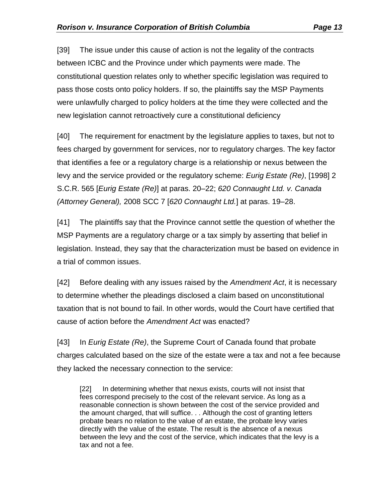[39] The issue under this cause of action is not the legality of the contracts between ICBC and the Province under which payments were made. The constitutional question relates only to whether specific legislation was required to pass those costs onto policy holders. If so, the plaintiffs say the MSP Payments were unlawfully charged to policy holders at the time they were collected and the new legislation cannot retroactively cure a constitutional deficiency

[40] The requirement for enactment by the legislature applies to taxes, but not to fees charged by government for services, nor to regulatory charges. The key factor that identifies a fee or a regulatory charge is a relationship or nexus between the levy and the service provided or the regulatory scheme: *Eurig Estate (Re)*, [1998] 2 S.C.R. 565 [*Eurig Estate (Re)*] at paras. 20–22; *620 Connaught Ltd. v. Canada (Attorney General),* 2008 SCC 7 [*620 Connaught Ltd.*] at paras. 19–28.

[41] The plaintiffs say that the Province cannot settle the question of whether the MSP Payments are a regulatory charge or a tax simply by asserting that belief in legislation. Instead, they say that the characterization must be based on evidence in a trial of common issues.

[42] Before dealing with any issues raised by the *Amendment Act*, it is necessary to determine whether the pleadings disclosed a claim based on unconstitutional taxation that is not bound to fail. In other words, would the Court have certified that cause of action before the *Amendment Act* was enacted?

[43] In *Eurig Estate (Re)*, the Supreme Court of Canada found that probate charges calculated based on the size of the estate were a tax and not a fee because they lacked the necessary connection to the service:

[22] In determining whether that nexus exists, courts will not insist that fees correspond precisely to the cost of the relevant service. As long as a reasonable connection is shown between the cost of the service provided and the amount charged, that will suffice. . . Although the cost of granting letters probate bears no relation to the value of an estate, the probate levy varies directly with the value of the estate. The result is the absence of a nexus between the levy and the cost of the service, which indicates that the levy is a tax and not a fee.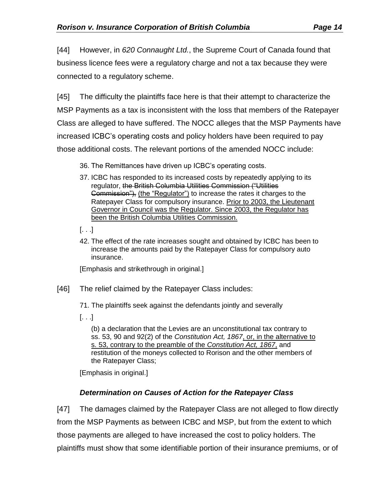[44] However, in *620 Connaught Ltd.*, the Supreme Court of Canada found that business licence fees were a regulatory charge and not a tax because they were connected to a regulatory scheme.

[45] The difficulty the plaintiffs face here is that their attempt to characterize the MSP Payments as a tax is inconsistent with the loss that members of the Ratepayer Class are alleged to have suffered. The NOCC alleges that the MSP Payments have increased ICBC's operating costs and policy holders have been required to pay those additional costs. The relevant portions of the amended NOCC include:

- 36. The Remittances have driven up ICBC's operating costs.
- 37. ICBC has responded to its increased costs by repeatedly applying to its regulator, the British Columbia Utilities Commission ("Utilities Commission"), (the "Regulator") to increase the rates it charges to the Ratepayer Class for compulsory insurance. Prior to 2003, the Lieutenant Governor in Council was the Regulator. Since 2003, the Regulator has been the British Columbia Utilities Commission.
- $[\ldots]$
- 42. The effect of the rate increases sought and obtained by ICBC has been to increase the amounts paid by the Ratepayer Class for compulsory auto insurance.

[Emphasis and strikethrough in original.]

- [46] The relief claimed by the Ratepayer Class includes:
	- 71. The plaintiffs seek against the defendants jointly and severally
	- $[\ldots]$

(b) a declaration that the Levies are an unconstitutional tax contrary to ss. 53, 90 and 92(2) of the *Constitution Act, 1867*, or, in the alternative to s. 53, contrary to the preamble of the *Constitution Act, 1867*, and restitution of the moneys collected to Rorison and the other members of the Ratepayer Class;

[Emphasis in original.]

## *Determination on Causes of Action for the Ratepayer Class*

<span id="page-13-0"></span>[47] The damages claimed by the Ratepayer Class are not alleged to flow directly from the MSP Payments as between ICBC and MSP, but from the extent to which those payments are alleged to have increased the cost to policy holders. The plaintiffs must show that some identifiable portion of their insurance premiums, or of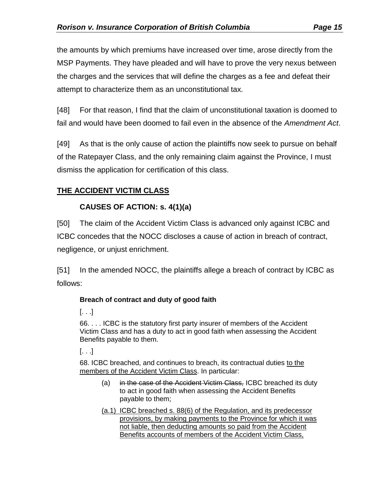the amounts by which premiums have increased over time, arose directly from the MSP Payments. They have pleaded and will have to prove the very nexus between the charges and the services that will define the charges as a fee and defeat their attempt to characterize them as an unconstitutional tax.

[48] For that reason, I find that the claim of unconstitutional taxation is doomed to fail and would have been doomed to fail even in the absence of the *Amendment Act*.

[49] As that is the only cause of action the plaintiffs now seek to pursue on behalf of the Ratepayer Class, and the only remaining claim against the Province, I must dismiss the application for certification of this class.

# <span id="page-14-0"></span>**THE ACCIDENT VICTIM CLASS**

# **CAUSES OF ACTION: s. 4(1)(a)**

<span id="page-14-1"></span>[50] The claim of the Accident Victim Class is advanced only against ICBC and ICBC concedes that the NOCC discloses a cause of action in breach of contract, negligence, or unjust enrichment.

[51] In the amended NOCC, the plaintiffs allege a breach of contract by ICBC as follows:

## **Breach of contract and duty of good faith**

 $[...]$ 

66. . . . ICBC is the statutory first party insurer of members of the Accident Victim Class and has a duty to act in good faith when assessing the Accident Benefits payable to them.

[. . .]

68. ICBC breached, and continues to breach, its contractual duties to the members of the Accident Victim Class. In particular:

- (a) in the case of the Accident Victim Class, ICBC breached its duty to act in good faith when assessing the Accident Benefits payable to them;
- (a.1) ICBC breached s. 88(6) of the Regulation, and its predecessor provisions, by making payments to the Province for which it was not liable, then deducting amounts so paid from the Accident Benefits accounts of members of the Accident Victim Class,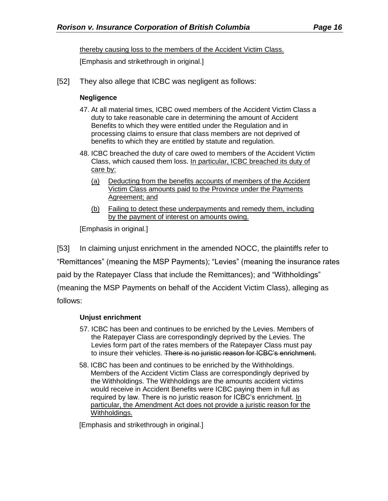thereby causing loss to the members of the Accident Victim Class.

[Emphasis and strikethrough in original.]

[52] They also allege that ICBC was negligent as follows:

#### **Negligence**

- 47. At all material times, ICBC owed members of the Accident Victim Class a duty to take reasonable care in determining the amount of Accident Benefits to which they were entitled under the Regulation and in processing claims to ensure that class members are not deprived of benefits to which they are entitled by statute and regulation.
- 48. ICBC breached the duty of care owed to members of the Accident Victim Class, which caused them loss. In particular, ICBC breached its duty of care by:
	- (a) Deducting from the benefits accounts of members of the Accident Victim Class amounts paid to the Province under the Payments Agreement; and
	- (b) Failing to detect these underpayments and remedy them, including by the payment of interest on amounts owing.

[Emphasis in original.]

[53] In claiming unjust enrichment in the amended NOCC, the plaintiffs refer to "Remittances" (meaning the MSP Payments); "Levies" (meaning the insurance rates paid by the Ratepayer Class that include the Remittances); and "Withholdings" (meaning the MSP Payments on behalf of the Accident Victim Class), alleging as follows:

**Unjust enrichment**

- 57. ICBC has been and continues to be enriched by the Levies. Members of the Ratepayer Class are correspondingly deprived by the Levies. The Levies form part of the rates members of the Ratepayer Class must pay to insure their vehicles. There is no juristic reason for ICBC's enrichment.
- 58. ICBC has been and continues to be enriched by the Withholdings. Members of the Accident Victim Class are correspondingly deprived by the Withholdings. The Withholdings are the amounts accident victims would receive in Accident Benefits were ICBC paying them in full as required by law. There is no juristic reason for ICBC's enrichment. In particular, the Amendment Act does not provide a juristic reason for the Withholdings.

[Emphasis and strikethrough in original.]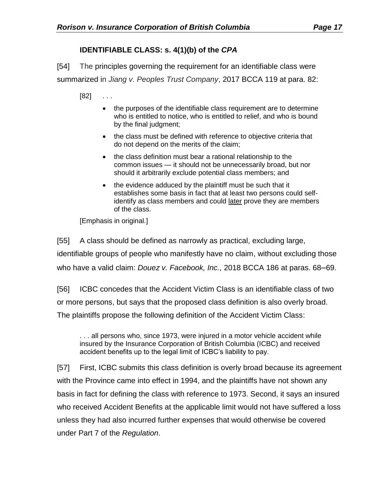## **IDENTIFIABLE CLASS: s. 4(1)(b) of the** *CPA*

<span id="page-16-0"></span>[54] The principles governing the requirement for an identifiable class were summarized in *Jiang v. Peoples Trust Company*, 2017 BCCA 119 at para. 82:

 $[82]$  ...

- the purposes of the identifiable class requirement are to determine who is entitled to notice, who is entitled to relief, and who is bound by the final judgment;
- the class must be defined with reference to objective criteria that do not depend on the merits of the claim;
- the class definition must bear a rational relationship to the common issues — it should not be unnecessarily broad, but nor should it arbitrarily exclude potential class members; and
- the evidence adduced by the plaintiff must be such that it establishes some basis in fact that at least two persons could selfidentify as class members and could later prove they are members of the class.

[Emphasis in original.]

[55] A class should be defined as narrowly as practical, excluding large, identifiable groups of people who manifestly have no claim, without excluding those who have a valid claim: *Douez v. Facebook, Inc.,* 2018 BCCA 186 at paras. 68**–**69.

[56] ICBC concedes that the Accident Victim Class is an identifiable class of two or more persons, but says that the proposed class definition is also overly broad. The plaintiffs propose the following definition of the Accident Victim Class:

. . . all persons who, since 1973, were injured in a motor vehicle accident while insured by the Insurance Corporation of British Columbia (ICBC) and received accident benefits up to the legal limit of ICBC's liability to pay.

[57] First, ICBC submits this class definition is overly broad because its agreement with the Province came into effect in 1994, and the plaintiffs have not shown any basis in fact for defining the class with reference to 1973. Second, it says an insured who received Accident Benefits at the applicable limit would not have suffered a loss unless they had also incurred further expenses that would otherwise be covered under Part 7 of the *Regulation*.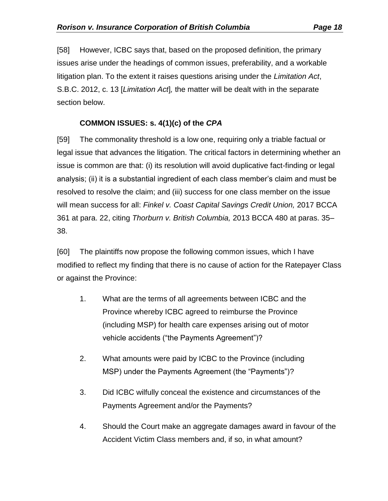[58] However, ICBC says that, based on the proposed definition, the primary issues arise under the headings of common issues, preferability, and a workable litigation plan. To the extent it raises questions arising under the *Limitation Act*, S.B.C. 2012, c. 13 [*Limitation Act*]*,* the matter will be dealt with in the separate section below.

### **COMMON ISSUES: s. 4(1)(c) of the** *CPA*

<span id="page-17-0"></span>[59] The commonality threshold is a low one, requiring only a triable factual or legal issue that advances the litigation. The critical factors in determining whether an issue is common are that: (i) its resolution will avoid duplicative fact-finding or legal analysis; (ii) it is a substantial ingredient of each class member's claim and must be resolved to resolve the claim; and (iii) success for one class member on the issue will mean success for all: *Finkel v. Coast Capital Savings Credit Union,* 2017 BCCA 361 at para. 22, citing *Thorburn v. British Columbia,* 2013 BCCA 480 at paras. 35– 38.

[60] The plaintiffs now propose the following common issues, which I have modified to reflect my finding that there is no cause of action for the Ratepayer Class or against the Province:

- 1. What are the terms of all agreements between ICBC and the Province whereby ICBC agreed to reimburse the Province (including MSP) for health care expenses arising out of motor vehicle accidents ("the Payments Agreement")?
- 2. What amounts were paid by ICBC to the Province (including MSP) under the Payments Agreement (the "Payments")?
- 3. Did ICBC wilfully conceal the existence and circumstances of the Payments Agreement and/or the Payments?
- 4. Should the Court make an aggregate damages award in favour of the Accident Victim Class members and, if so, in what amount?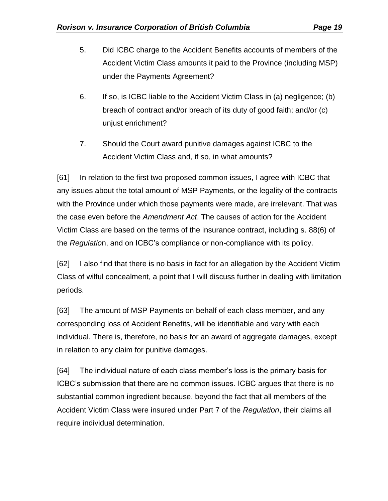- 5. Did ICBC charge to the Accident Benefits accounts of members of the Accident Victim Class amounts it paid to the Province (including MSP) under the Payments Agreement?
- 6. If so, is ICBC liable to the Accident Victim Class in (a) negligence; (b) breach of contract and/or breach of its duty of good faith; and/or (c) unjust enrichment?
- 7. Should the Court award punitive damages against ICBC to the Accident Victim Class and, if so, in what amounts?

[61] In relation to the first two proposed common issues, I agree with ICBC that any issues about the total amount of MSP Payments, or the legality of the contracts with the Province under which those payments were made, are irrelevant. That was the case even before the *Amendment Act*. The causes of action for the Accident Victim Class are based on the terms of the insurance contract, including s. 88(6) of the *Regulatio*n, and on ICBC's compliance or non-compliance with its policy.

[62] I also find that there is no basis in fact for an allegation by the Accident Victim Class of wilful concealment, a point that I will discuss further in dealing with limitation periods.

[63] The amount of MSP Payments on behalf of each class member, and any corresponding loss of Accident Benefits, will be identifiable and vary with each individual. There is, therefore, no basis for an award of aggregate damages, except in relation to any claim for punitive damages.

[64] The individual nature of each class member's loss is the primary basis for ICBC's submission that there are no common issues. ICBC argues that there is no substantial common ingredient because, beyond the fact that all members of the Accident Victim Class were insured under Part 7 of the *Regulation*, their claims all require individual determination.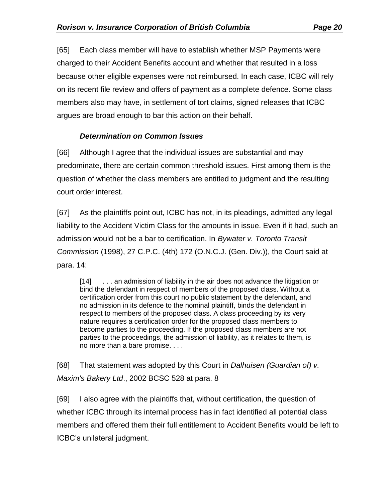[65] Each class member will have to establish whether MSP Payments were charged to their Accident Benefits account and whether that resulted in a loss because other eligible expenses were not reimbursed. In each case, ICBC will rely on its recent file review and offers of payment as a complete defence. Some class members also may have, in settlement of tort claims, signed releases that ICBC argues are broad enough to bar this action on their behalf.

#### *Determination on Common Issues*

<span id="page-19-0"></span>[66] Although I agree that the individual issues are substantial and may predominate, there are certain common threshold issues. First among them is the question of whether the class members are entitled to judgment and the resulting court order interest.

[67] As the plaintiffs point out, ICBC has not, in its pleadings, admitted any legal liability to the Accident Victim Class for the amounts in issue. Even if it had, such an admission would not be a bar to certification. In *Bywater v. Toronto Transit Commission* (1998), 27 C.P.C. (4th) 172 (O.N.C.J. (Gen. Div.)), the Court said at para. 14:

[14] . . . an admission of liability in the air does not advance the litigation or bind the defendant in respect of members of the proposed class. Without a certification order from this court no public statement by the defendant, and no admission in its defence to the nominal plaintiff, binds the defendant in respect to members of the proposed class. A class proceeding by its very nature requires a certification order for the proposed class members to become parties to the proceeding. If the proposed class members are not parties to the proceedings, the admission of liability, as it relates to them, is no more than a bare promise. . . .

[68] That statement was adopted by this Court in *Dalhuisen (Guardian of) v. Maxim's Bakery Ltd*., 2002 BCSC 528 at para. 8

[69] I also agree with the plaintiffs that, without certification, the question of whether ICBC through its internal process has in fact identified all potential class members and offered them their full entitlement to Accident Benefits would be left to ICBC's unilateral judgment.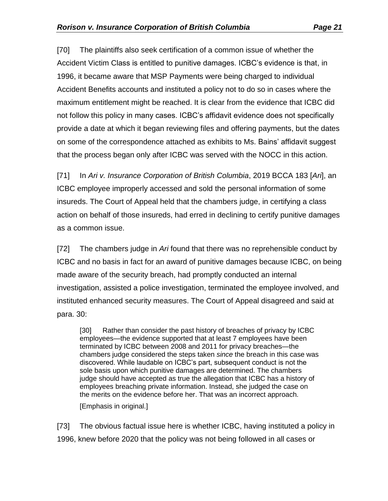[70] The plaintiffs also seek certification of a common issue of whether the Accident Victim Class is entitled to punitive damages. ICBC's evidence is that, in 1996, it became aware that MSP Payments were being charged to individual Accident Benefits accounts and instituted a policy not to do so in cases where the maximum entitlement might be reached. It is clear from the evidence that ICBC did not follow this policy in many cases. ICBC's affidavit evidence does not specifically provide a date at which it began reviewing files and offering payments, but the dates on some of the correspondence attached as exhibits to Ms. Bains' affidavit suggest that the process began only after ICBC was served with the NOCC in this action.

[71] In *Ari v. Insurance Corporation of British Columbia*, 2019 BCCA 183 [*Ari*], an ICBC employee improperly accessed and sold the personal information of some insureds. The Court of Appeal held that the chambers judge, in certifying a class action on behalf of those insureds, had erred in declining to certify punitive damages as a common issue.

[72] The chambers judge in *Ari* found that there was no reprehensible conduct by ICBC and no basis in fact for an award of punitive damages because ICBC, on being made aware of the security breach, had promptly conducted an internal investigation, assisted a police investigation, terminated the employee involved, and instituted enhanced security measures. The Court of Appeal disagreed and said at para. 30:

[30] Rather than consider the past history of breaches of privacy by ICBC employees—the evidence supported that at least 7 employees have been terminated by ICBC between 2008 and 2011 for privacy breaches—the chambers judge considered the steps taken *since* the breach in this case was discovered. While laudable on ICBC's part, subsequent conduct is not the sole basis upon which punitive damages are determined. The chambers judge should have accepted as true the allegation that ICBC has a history of employees breaching private information. Instead, she judged the case on the merits on the evidence before her. That was an incorrect approach.

[Emphasis in original.]

[73] The obvious factual issue here is whether ICBC, having instituted a policy in 1996, knew before 2020 that the policy was not being followed in all cases or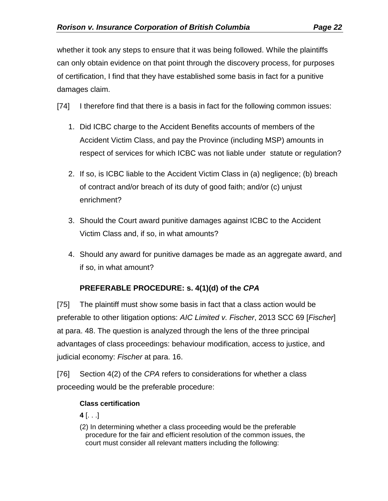whether it took any steps to ensure that it was being followed. While the plaintiffs can only obtain evidence on that point through the discovery process, for purposes of certification, I find that they have established some basis in fact for a punitive damages claim.

- [74] I therefore find that there is a basis in fact for the following common issues:
	- 1. Did ICBC charge to the Accident Benefits accounts of members of the Accident Victim Class, and pay the Province (including MSP) amounts in respect of services for which ICBC was not liable under statute or regulation?
	- 2. If so, is ICBC liable to the Accident Victim Class in (a) negligence; (b) breach of contract and/or breach of its duty of good faith; and/or (c) unjust enrichment?
	- 3. Should the Court award punitive damages against ICBC to the Accident Victim Class and, if so, in what amounts?
	- 4. Should any award for punitive damages be made as an aggregate award, and if so, in what amount?

# **PREFERABLE PROCEDURE: s. 4(1)(d) of the** *CPA*

<span id="page-21-0"></span>[75] The plaintiff must show some basis in fact that a class action would be preferable to other litigation options: *AIC Limited v. Fischer*, 2013 SCC 69 [*Fischer*] at para. 48. The question is analyzed through the lens of the three principal advantages of class proceedings: behaviour modification, access to justice, and judicial economy: *Fischer* at para. 16.

[76] Section 4(2) of the *CPA* refers to considerations for whether a class proceeding would be the preferable procedure:

#### **Class certification**

**4** [. . .]

(2) In determining whether a class proceeding would be the preferable procedure for the fair and efficient resolution of the common issues, the court must consider all relevant matters including the following: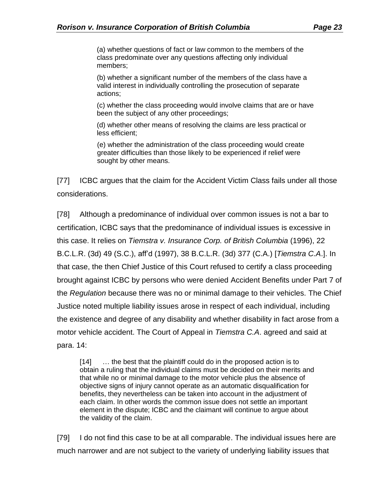(a) whether questions of fact or law common to the members of the class predominate over any questions affecting only individual members;

(b) whether a significant number of the members of the class have a valid interest in individually controlling the prosecution of separate actions;

(c) whether the class proceeding would involve claims that are or have been the subject of any other proceedings;

(d) whether other means of resolving the claims are less practical or less efficient;

(e) whether the administration of the class proceeding would create greater difficulties than those likely to be experienced if relief were sought by other means.

[77] ICBC argues that the claim for the Accident Victim Class fails under all those considerations.

[78] Although a predominance of individual over common issues is not a bar to certification, ICBC says that the predominance of individual issues is excessive in this case. It relies on *Tiemstra v. Insurance Corp. of British Columbia* (1996), 22 B.C.L.R. (3d) 49 (S.C.), aff'd (1997), 38 B.C.L.R. (3d) 377 (C.A.) [*Tiemstra C.A*.]. In that case, the then Chief Justice of this Court refused to certify a class proceeding brought against ICBC by persons who were denied Accident Benefits under Part 7 of the *Regulation* because there was no or minimal damage to their vehicles. The Chief Justice noted multiple liability issues arose in respect of each individual, including the existence and degree of any disability and whether disability in fact arose from a motor vehicle accident. The Court of Appeal in *Tiemstra C.A*. agreed and said at para. 14:

[14] … the best that the plaintiff could do in the proposed action is to obtain a ruling that the individual claims must be decided on their merits and that while no or minimal damage to the motor vehicle plus the absence of objective signs of injury cannot operate as an automatic disqualification for benefits, they nevertheless can be taken into account in the adjustment of each claim. In other words the common issue does not settle an important element in the dispute; ICBC and the claimant will continue to argue about the validity of the claim.

[79] I do not find this case to be at all comparable. The individual issues here are much narrower and are not subject to the variety of underlying liability issues that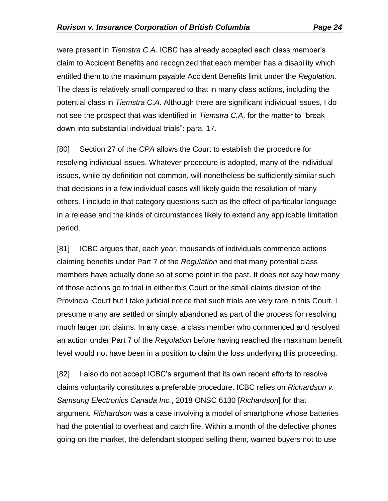were present in *Tiemstra C.A*. ICBC has already accepted each class member's claim to Accident Benefits and recognized that each member has a disability which entitled them to the maximum payable Accident Benefits limit under the *Regulation*. The class is relatively small compared to that in many class actions, including the potential class in *Tiemstra C.A*. Although there are significant individual issues, I do not see the prospect that was identified in *Tiemstra C.A*. for the matter to "break down into substantial individual trials": para. 17.

[80] Section 27 of the *CPA* allows the Court to establish the procedure for resolving individual issues. Whatever procedure is adopted, many of the individual issues, while by definition not common, will nonetheless be sufficiently similar such that decisions in a few individual cases will likely guide the resolution of many others. I include in that category questions such as the effect of particular language in a release and the kinds of circumstances likely to extend any applicable limitation period.

[81] ICBC argues that, each year, thousands of individuals commence actions claiming benefits under Part 7 of the *Regulation* and that many potential class members have actually done so at some point in the past. It does not say how many of those actions go to trial in either this Court or the small claims division of the Provincial Court but I take judicial notice that such trials are very rare in this Court. I presume many are settled or simply abandoned as part of the process for resolving much larger tort claims. In any case, a class member who commenced and resolved an action under Part 7 of the *Regulation* before having reached the maximum benefit level would not have been in a position to claim the loss underlying this proceeding.

[82] I also do not accept ICBC's argument that its own recent efforts to resolve claims voluntarily constitutes a preferable procedure. ICBC relies on *Richardson v. Samsung Electronics Canada Inc.*, 2018 ONSC 6130 [*Richardson*] for that argument*. Richardson* was a case involving a model of smartphone whose batteries had the potential to overheat and catch fire. Within a month of the defective phones going on the market, the defendant stopped selling them, warned buyers not to use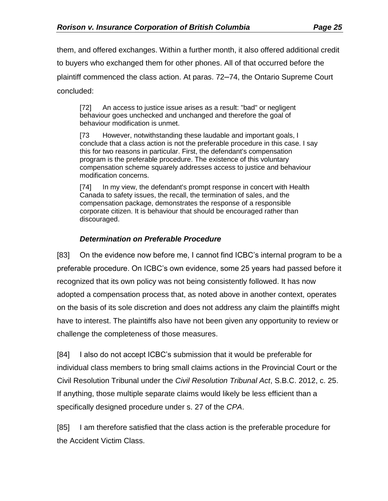them, and offered exchanges. Within a further month, it also offered additional credit to buyers who exchanged them for other phones. All of that occurred before the plaintiff commenced the class action. At paras. 72**–**74, the Ontario Supreme Court concluded:

[72] An access to justice issue arises as a result: "bad" or negligent behaviour goes unchecked and unchanged and therefore the goal of behaviour modification is unmet.

[73 However, notwithstanding these laudable and important goals, I conclude that a class action is not the preferable procedure in this case. I say this for two reasons in particular. First, the defendant's compensation program is the preferable procedure. The existence of this voluntary compensation scheme squarely addresses access to justice and behaviour modification concerns.

[74] In my view, the defendant's prompt response in concert with Health Canada to safety issues, the recall, the termination of sales, and the compensation package, demonstrates the response of a responsible corporate citizen. It is behaviour that should be encouraged rather than discouraged.

## *Determination on Preferable Procedure*

<span id="page-24-0"></span>[83] On the evidence now before me, I cannot find ICBC's internal program to be a preferable procedure. On ICBC's own evidence, some 25 years had passed before it recognized that its own policy was not being consistently followed. It has now adopted a compensation process that, as noted above in another context, operates on the basis of its sole discretion and does not address any claim the plaintiffs might have to interest. The plaintiffs also have not been given any opportunity to review or challenge the completeness of those measures.

[84] I also do not accept ICBC's submission that it would be preferable for individual class members to bring small claims actions in the Provincial Court or the Civil Resolution Tribunal under the *Civil Resolution Tribunal Act*, S.B.C. 2012, c. 25. If anything, those multiple separate claims would likely be less efficient than a specifically designed procedure under s. 27 of the *CPA*.

[85] I am therefore satisfied that the class action is the preferable procedure for the Accident Victim Class.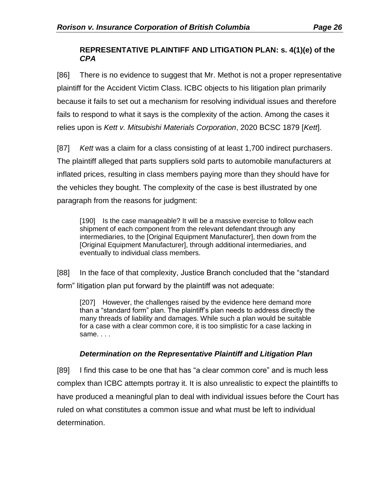#### <span id="page-25-0"></span>**REPRESENTATIVE PLAINTIFF AND LITIGATION PLAN: s. 4(1)(e) of the**  *CPA*

[86] There is no evidence to suggest that Mr. Methot is not a proper representative plaintiff for the Accident Victim Class. ICBC objects to his litigation plan primarily because it fails to set out a mechanism for resolving individual issues and therefore fails to respond to what it says is the complexity of the action. Among the cases it relies upon is *Kett v. Mitsubishi Materials Corporation*, 2020 BCSC 1879 [*Kett*].

[87] *Kett* was a claim for a class consisting of at least 1,700 indirect purchasers. The plaintiff alleged that parts suppliers sold parts to automobile manufacturers at inflated prices, resulting in class members paying more than they should have for the vehicles they bought. The complexity of the case is best illustrated by one paragraph from the reasons for judgment:

[190] Is the case manageable? It will be a massive exercise to follow each shipment of each component from the relevant defendant through any intermediaries, to the [Original Equipment Manufacturer], then down from the [Original Equipment Manufacturer], through additional intermediaries, and eventually to individual class members.

[88] In the face of that complexity, Justice Branch concluded that the "standard form" litigation plan put forward by the plaintiff was not adequate:

[207] However, the challenges raised by the evidence here demand more than a "standard form" plan. The plaintiff's plan needs to address directly the many threads of liability and damages. While such a plan would be suitable for a case with a clear common core, it is too simplistic for a case lacking in same. . . .

## *Determination on the Representative Plaintiff and Litigation Plan*

<span id="page-25-1"></span>[89] I find this case to be one that has "a clear common core" and is much less complex than ICBC attempts portray it. It is also unrealistic to expect the plaintiffs to have produced a meaningful plan to deal with individual issues before the Court has ruled on what constitutes a common issue and what must be left to individual determination.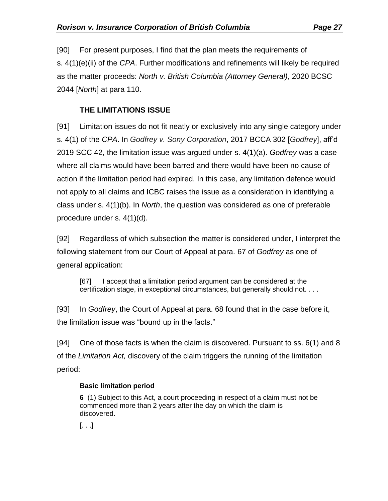[90] For present purposes, I find that the plan meets the requirements of s. 4(1)(e)(ii) of the *CPA*. Further modifications and refinements will likely be required as the matter proceeds: *North v. British Columbia (Attorney General)*, 2020 BCSC 2044 [*North*] at para 110.

## **THE LIMITATIONS ISSUE**

<span id="page-26-0"></span>[91] Limitation issues do not fit neatly or exclusively into any single category under s. 4(1) of the *CPA*. In *Godfrey v. Sony Corporation*, 2017 BCCA 302 [*Godfrey*], aff'd 2019 SCC 42, the limitation issue was argued under s. 4(1)(a). *Godfrey* was a case where all claims would have been barred and there would have been no cause of action if the limitation period had expired. In this case, any limitation defence would not apply to all claims and ICBC raises the issue as a consideration in identifying a class under s. 4(1)(b). In *North*, the question was considered as one of preferable procedure under s. 4(1)(d).

[92] Regardless of which subsection the matter is considered under, I interpret the following statement from our Court of Appeal at para. 67 of *Godfrey* as one of general application:

[67] I accept that a limitation period argument can be considered at the certification stage, in exceptional circumstances, but generally should not. . . .

[93] In *Godfrey*, the Court of Appeal at para. 68 found that in the case before it, the limitation issue was "bound up in the facts."

[94] One of those facts is when the claim is discovered. Pursuant to ss. 6(1) and 8 of the *Limitation Act,* discovery of the claim triggers the running of the limitation period:

#### **Basic limitation period**

**6** (1) Subject to this Act, a court proceeding in respect of a claim must not be commenced more than 2 years after the day on which the claim is discovered.

[. . .]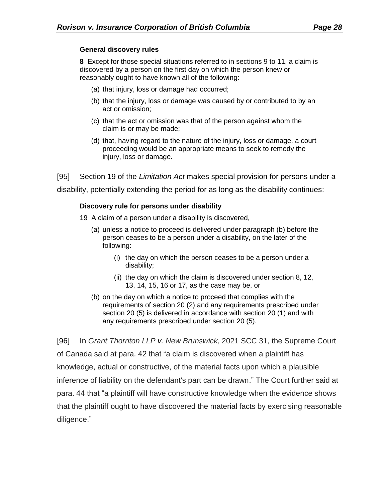#### **General discovery rules**

**8** Except for those special situations referred to in sections 9 to 11, a claim is discovered by a person on the first day on which the person knew or reasonably ought to have known all of the following:

- (a) that injury, loss or damage had occurred;
- (b) that the injury, loss or damage was caused by or contributed to by an act or omission;
- (c) that the act or omission was that of the person against whom the claim is or may be made;
- (d) that, having regard to the nature of the injury, loss or damage, a court proceeding would be an appropriate means to seek to remedy the injury, loss or damage.

[95] Section 19 of the *Limitation Act* makes special provision for persons under a disability, potentially extending the period for as long as the disability continues:

#### **Discovery rule for persons under disability**

- 19 A claim of a person under a disability is discovered,
	- (a) unless a notice to proceed is delivered under paragraph (b) before the person ceases to be a person under a disability, on the later of the following:
		- (i) the day on which the person ceases to be a person under a disability;
		- (ii) the day on which the claim is discovered under section 8, 12, 13, 14, 15, 16 or 17, as the case may be, or
	- (b) on the day on which a notice to proceed that complies with the requirements of section 20 (2) and any requirements prescribed under section 20 (5) is delivered in accordance with section 20 (1) and with any requirements prescribed under section 20 (5).

[96] In *Grant Thornton LLP v. New Brunswick*, 2021 SCC 31, the Supreme Court of Canada said at para. 42 that "a claim is discovered when a plaintiff has knowledge, actual or constructive, of the material facts upon which a plausible inference of liability on the defendant's part can be drawn." The Court further said at para. 44 that "a plaintiff will have constructive knowledge when the evidence shows that the plaintiff ought to have discovered the material facts by exercising reasonable diligence."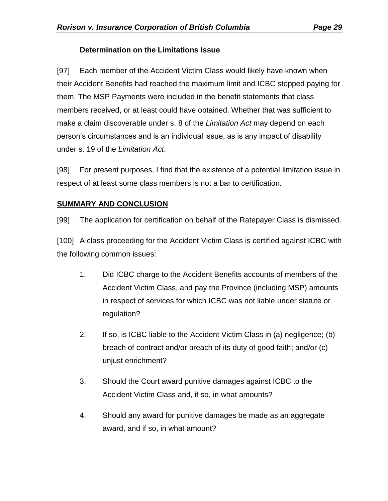### **Determination on the Limitations Issue**

[97] Each member of the Accident Victim Class would likely have known when their Accident Benefits had reached the maximum limit and ICBC stopped paying for them. The MSP Payments were included in the benefit statements that class members received, or at least could have obtained. Whether that was sufficient to make a claim discoverable under s. 8 of the *Limitation Act* may depend on each person's circumstances and is an individual issue, as is any impact of disability under s. 19 of the *Limitation Act*.

[98] For present purposes, I find that the existence of a potential limitation issue in respect of at least some class members is not a bar to certification.

#### <span id="page-28-0"></span>**SUMMARY AND CONCLUSION**

[99] The application for certification on behalf of the Ratepayer Class is dismissed.

[100] A class proceeding for the Accident Victim Class is certified against ICBC with the following common issues:

- 1. Did ICBC charge to the Accident Benefits accounts of members of the Accident Victim Class, and pay the Province (including MSP) amounts in respect of services for which ICBC was not liable under statute or regulation?
- 2. If so, is ICBC liable to the Accident Victim Class in (a) negligence; (b) breach of contract and/or breach of its duty of good faith; and/or (c) unjust enrichment?
- 3. Should the Court award punitive damages against ICBC to the Accident Victim Class and, if so, in what amounts?
- 4. Should any award for punitive damages be made as an aggregate award, and if so, in what amount?